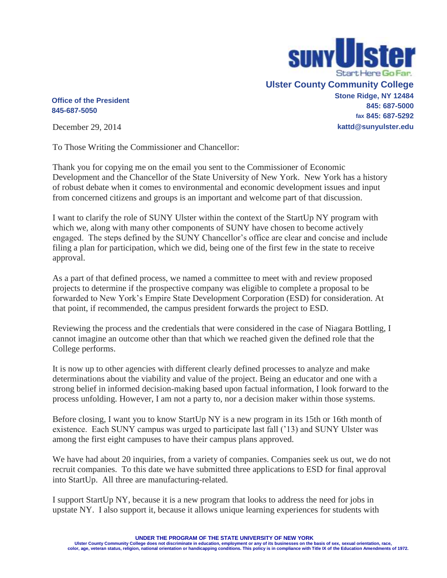

## **Office of the President 845-687-5050**

December 29, 2014

To Those Writing the Commissioner and Chancellor:

Thank you for copying me on the email you sent to the Commissioner of Economic Development and the Chancellor of the State University of New York. New York has a history of robust debate when it comes to environmental and economic development issues and input from concerned citizens and groups is an important and welcome part of that discussion.

I want to clarify the role of SUNY Ulster within the context of the StartUp NY program with which we, along with many other components of SUNY have chosen to become actively engaged. The steps defined by the SUNY Chancellor's office are clear and concise and include filing a plan for participation, which we did, being one of the first few in the state to receive approval.

As a part of that defined process, we named a committee to meet with and review proposed projects to determine if the prospective company was eligible to complete a proposal to be forwarded to New York's Empire State Development Corporation (ESD) for consideration. At that point, if recommended, the campus president forwards the project to ESD.

Reviewing the process and the credentials that were considered in the case of Niagara Bottling, I cannot imagine an outcome other than that which we reached given the defined role that the College performs.

It is now up to other agencies with different clearly defined processes to analyze and make determinations about the viability and value of the project. Being an educator and one with a strong belief in informed decision-making based upon factual information, I look forward to the process unfolding. However, I am not a party to, nor a decision maker within those systems.

Before closing, I want you to know StartUp NY is a new program in its 15th or 16th month of existence. Each SUNY campus was urged to participate last fall ('13) and SUNY Ulster was among the first eight campuses to have their campus plans approved.

We have had about 20 inquiries, from a variety of companies. Companies seek us out, we do not recruit companies. To this date we have submitted three applications to ESD for final approval into StartUp. All three are manufacturing-related.

I support StartUp NY, because it is a new program that looks to address the need for jobs in upstate NY. I also support it, because it allows unique learning experiences for students with